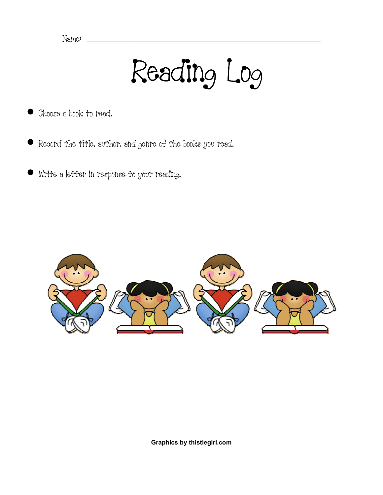Name: \_\_\_\_\_\_\_\_\_\_\_\_\_\_\_\_\_\_\_\_\_\_\_\_\_\_\_\_\_\_

Reading Log Log

- Ghoose a book to read.
- Record the title, author, and genre of the books you read.
- Write a letter in response to your reading.



Graphics by thistlegirl.com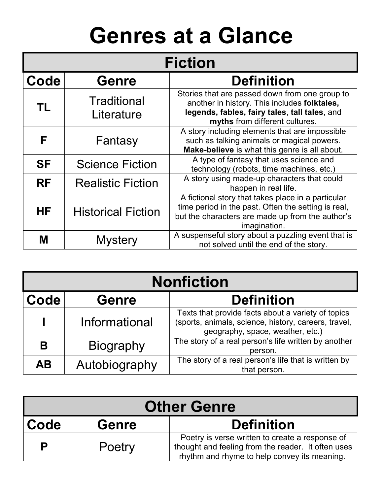## Genres at a Glance

| <b>Fiction</b> |                                   |                                                                                                                                                                                   |  |  |  |  |
|----------------|-----------------------------------|-----------------------------------------------------------------------------------------------------------------------------------------------------------------------------------|--|--|--|--|
| Code           | <b>Genre</b><br><b>Definition</b> |                                                                                                                                                                                   |  |  |  |  |
| <b>TL</b>      | <b>Traditional</b><br>Literature  | Stories that are passed down from one group to<br>another in history. This includes folktales,<br>legends, fables, fairy tales, tall tales, and<br>myths from different cultures. |  |  |  |  |
| F              | Fantasy                           | A story including elements that are impossible<br>such as talking animals or magical powers.<br>Make-believe is what this genre is all about.                                     |  |  |  |  |
| <b>SF</b>      | <b>Science Fiction</b>            | A type of fantasy that uses science and<br>technology (robots, time machines, etc.)                                                                                               |  |  |  |  |
| <b>RF</b>      | <b>Realistic Fiction</b>          | A story using made-up characters that could<br>happen in real life.                                                                                                               |  |  |  |  |
| <b>HF</b>      | <b>Historical Fiction</b>         | A fictional story that takes place in a particular<br>time period in the past. Often the setting is real,<br>but the characters are made up from the author's<br>imagination.     |  |  |  |  |
| M              | <b>Mystery</b>                    | A suspenseful story about a puzzling event that is<br>not solved until the end of the story.                                                                                      |  |  |  |  |

| <b>Nonfiction</b> |                                   |                                                                                                                                                |  |  |  |  |
|-------------------|-----------------------------------|------------------------------------------------------------------------------------------------------------------------------------------------|--|--|--|--|
| Code              | <b>Definition</b><br><b>Genre</b> |                                                                                                                                                |  |  |  |  |
|                   | Informational                     | Texts that provide facts about a variety of topics<br>(sports, animals, science, history, careers, travel,<br>geography, space, weather, etc.) |  |  |  |  |
| Β                 | <b>Biography</b>                  | The story of a real person's life written by another<br>person.                                                                                |  |  |  |  |
| <b>AB</b>         | Autobiography                     | The story of a real person's life that is written by<br>that person.                                                                           |  |  |  |  |

| <b>Other Genre</b> |              |                                                                                                                                                       |  |  |  |  |
|--------------------|--------------|-------------------------------------------------------------------------------------------------------------------------------------------------------|--|--|--|--|
| Code               | <b>Genre</b> | <b>Definition</b>                                                                                                                                     |  |  |  |  |
| P                  | Poetry       | Poetry is verse written to create a response of<br>thought and feeling from the reader. It often uses<br>rhythm and rhyme to help convey its meaning. |  |  |  |  |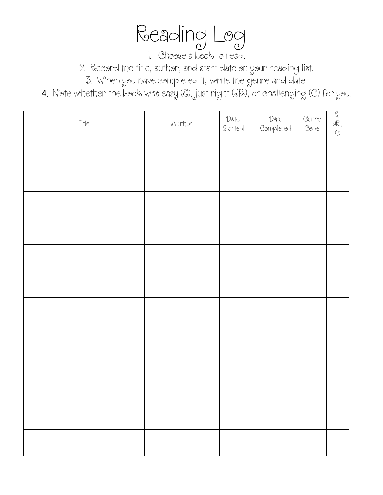Reading Log

1. Choose a book to read.

2. Record the title, author, and start date on your reading list.

3. When you have completed it, write the genre and date.

4. Note whether the book was easy (E), just right (JR), or challenging (C) for you.

| Title | Aouthor | Date<br>Started | Date<br>Completed | Genre<br>Code | $\frac{1}{6}$ $\frac{1}{6}$ |
|-------|---------|-----------------|-------------------|---------------|-----------------------------|
|       |         |                 |                   |               |                             |
|       |         |                 |                   |               |                             |
|       |         |                 |                   |               |                             |
|       |         |                 |                   |               |                             |
|       |         |                 |                   |               |                             |
|       |         |                 |                   |               |                             |
|       |         |                 |                   |               |                             |
|       |         |                 |                   |               |                             |
|       |         |                 |                   |               |                             |
|       |         |                 |                   |               |                             |
|       |         |                 |                   |               |                             |
|       |         |                 |                   |               |                             |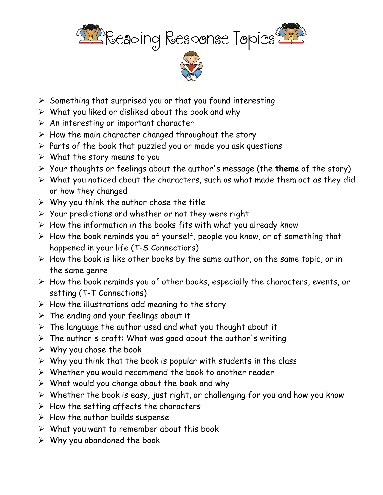

- イントライト
- $\triangleright$  Something that surprised you or that you found interesting
- $\triangleright$  What you liked or disliked about the book and why
- $\triangleright$  An interesting or important character
- $\triangleright$  How the main character changed throughout the story
- $\triangleright$  Parts of the book that puzzled you or made you ask questions
- $\triangleright$  What the story means to you
- $\triangleright$  Your thoughts or feelings about the author's message (the **theme** of the story)
- $\triangleright$  What you noticed about the characters, such as what made them act as they did or how they changed
- $\triangleright$  Why you think the author chose the title
- $\triangleright$  Your predictions and whether or not they were right
- $\triangleright$  How the information in the books fits with what you already know
- $\triangleright$  How the book reminds you of yourself, people you know, or of something that happened in your life (T-S Connections)
- $\triangleright$  How the book is like other books by the same author, on the same topic, or in the same genre
- $\triangleright$  How the book reminds you of other books, especially the characters, events, or setting (T-T Connections)
- $\triangleright$  How the illustrations add meaning to the story
- $\triangleright$  The ending and your feelings about it
- $\triangleright$  The language the author used and what you thought about it
- The author's craft: What was good about the author's writing
- $\triangleright$  Why you chose the book
- $\triangleright$  Why you think that the book is popular with students in the class
- $\triangleright$  Whether you would recommend the book to another reader
- $\triangleright$  What would you change about the book and why
- $\triangleright$  Whether the book is easy, just right, or challenging for you and how you know
- $\triangleright$  How the setting affects the characters
- $\triangleright$  How the author builds suspense
- $\triangleright$  What you want to remember about this book
- $\triangleright$  Why you abandoned the book